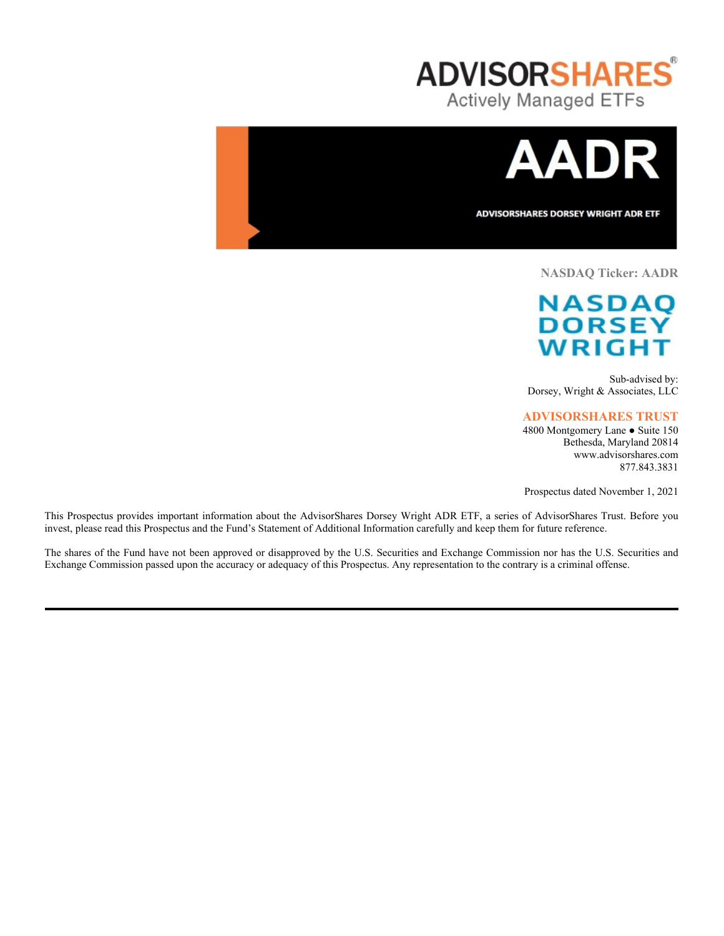



**ADVISORSHARES DORSEY WRIGHT ADR ETF** 

## **NASDAQ Ticker: AADR**

# **NASDAQ DORSEY WRIGH**

Sub-advised by: Dorsey, Wright & Associates, LLC

## **ADVISORSHARES TRUST**

4800 Montgomery Lane ● Suite 150 Bethesda, Maryland 20814 www.advisorshares.com 877.843.3831

Prospectus dated November 1, 2021

This Prospectus provides important information about the AdvisorShares Dorsey Wright ADR ETF, a series of AdvisorShares Trust. Before you invest, please read this Prospectus and the Fund's Statement of Additional Information carefully and keep them for future reference.

The shares of the Fund have not been approved or disapproved by the U.S. Securities and Exchange Commission nor has the U.S. Securities and Exchange Commission passed upon the accuracy or adequacy of this Prospectus. Any representation to the contrary is a criminal offense.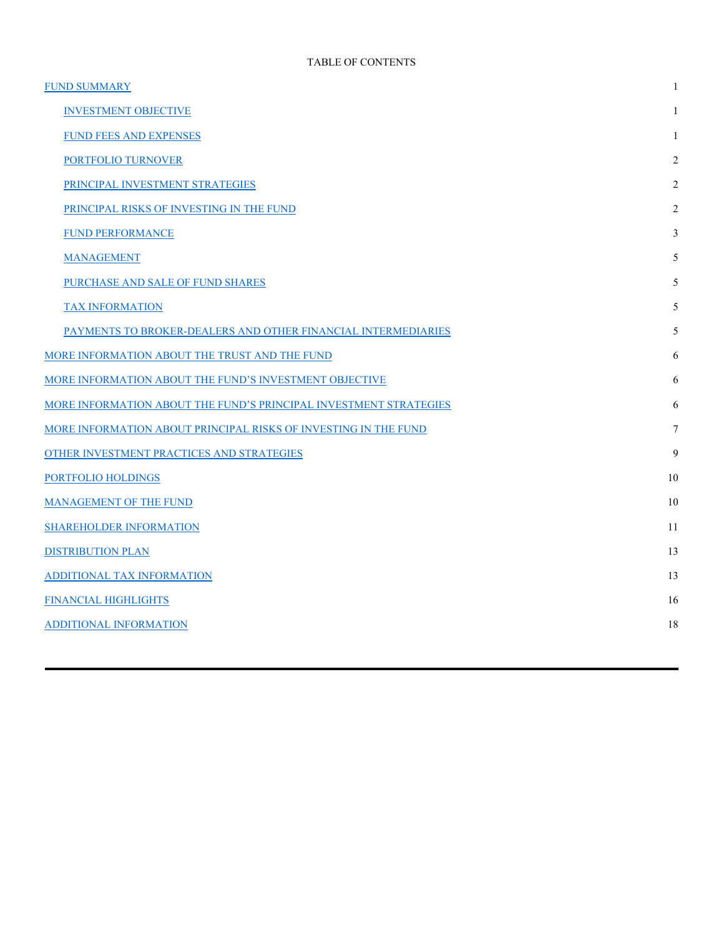| <b>FUND SUMMARY</b>                                               | 1              |
|-------------------------------------------------------------------|----------------|
| <b>INVESTMENT OBJECTIVE</b>                                       | 1              |
| FUND FEES AND EXPENSES                                            | 1              |
| PORTFOLIO TURNOVER                                                | 2              |
| PRINCIPAL INVESTMENT STRATEGIES                                   | 2              |
| PRINCIPAL RISKS OF INVESTING IN THE FUND                          | $\overline{2}$ |
| <b>FUND PERFORMANCE</b>                                           | 3              |
| <b>MANAGEMENT</b>                                                 | 5              |
| PURCHASE AND SALE OF FUND SHARES                                  | 5              |
| <b>TAX INFORMATION</b>                                            | 5              |
| PAYMENTS TO BROKER-DEALERS AND OTHER FINANCIAL INTERMEDIARIES     | 5              |
| MORE INFORMATION ABOUT THE TRUST AND THE FUND                     | 6              |
| MORE INFORMATION ABOUT THE FUND'S INVESTMENT OBJECTIVE            | 6              |
| MORE INFORMATION ABOUT THE FUND'S PRINCIPAL INVESTMENT STRATEGIES | 6              |
| MORE INFORMATION ABOUT PRINCIPAL RISKS OF INVESTING IN THE FUND   | 7              |
| OTHER INVESTMENT PRACTICES AND STRATEGIES                         | 9              |
| PORTFOLIO HOLDINGS                                                | 10             |
| <b>MANAGEMENT OF THE FUND</b>                                     | 10             |
| <b>SHAREHOLDER INFORMATION</b>                                    | 11             |
| <b>DISTRIBUTION PLAN</b>                                          | 13             |
| ADDITIONAL TAX INFORMATION                                        | 13             |
| FINANCIAL HIGHLIGHTS                                              | 16             |
| <b>ADDITIONAL INFORMATION</b>                                     | 18             |
|                                                                   |                |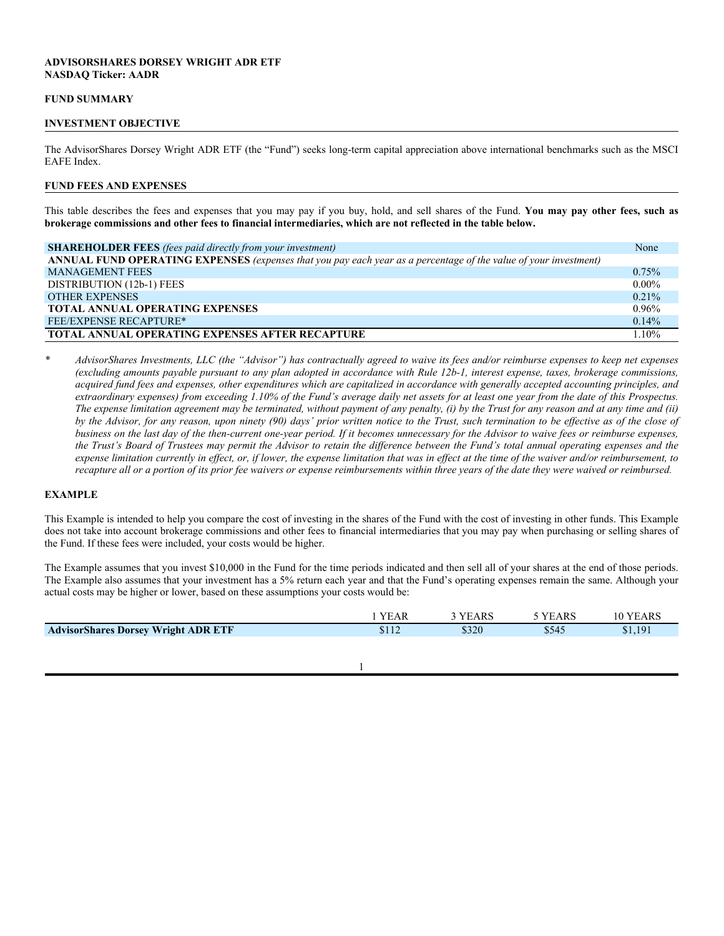## **ADVISORSHARES DORSEY WRIGHT ADR ETF NASDAQ Ticker: AADR**

#### **FUND SUMMARY**

#### **INVESTMENT OBJECTIVE**

The AdvisorShares Dorsey Wright ADR ETF (the "Fund") seeks long-term capital appreciation above international benchmarks such as the MSCI EAFE Index.

#### **FUND FEES AND EXPENSES**

This table describes the fees and expenses that you may pay if you buy, hold, and sell shares of the Fund. **You may pay other fees, such as brokerage commissions and other fees to financial intermediaries, which are not reflected in the table below.**

| <b>SHAREHOLDER FEES</b> (fees paid directly from your investment)                                                | None     |
|------------------------------------------------------------------------------------------------------------------|----------|
| ANNUAL FUND OPERATING EXPENSES (expenses that you pay each year as a percentage of the value of your investment) |          |
| <b>MANAGEMENT FEES</b>                                                                                           | 0.75%    |
| DISTRIBUTION (12b-1) FEES                                                                                        | $0.00\%$ |
| <b>OTHER EXPENSES</b>                                                                                            | $0.21\%$ |
| <b>TOTAL ANNUAL OPERATING EXPENSES</b>                                                                           | $0.96\%$ |
| <b>FEE/EXPENSE RECAPTURE*</b>                                                                                    | $0.14\%$ |
| <b>TOTAL ANNUAL OPERATING EXPENSES AFTER RECAPTURE</b>                                                           | $1.10\%$ |

*\* AdvisorShares Investments, LLC (the "Advisor") has contractually agreed to waive its fees and/or reimburse expenses to keep net expenses (excluding amounts payable pursuant to any plan adopted in accordance with Rule 12b-1, interest expense, taxes, brokerage commissions, acquired fund fees and expenses, other expenditures which are capitalized in accordance with generally accepted accounting principles, and extraordinary expenses) from exceeding 1.10% of the Fund's average daily net assets for at least one year from the date of this Prospectus. The expense limitation agreement may be terminated, without payment of any penalty, (i) by the Trust for any reason and at any time and (ii)*  by the Advisor, for any reason, upon ninety (90) days' prior written notice to the Trust, such termination to be effective as of the close of *business on the last day of the then-current one-year period. If it becomes unnecessary for the Advisor to waive fees or reimburse expenses, the Trust's Board of Trustees may permit the Advisor to retain the difference between the Fund's total annual operating expenses and the expense limitation currently in effect, or, if lower, the expense limitation that was in effect at the time of the waiver and/or reimbursement, to recapture all or a portion of its prior fee waivers or expense reimbursements within three years of the date they were waived or reimbursed.*

## **EXAMPLE**

This Example is intended to help you compare the cost of investing in the shares of the Fund with the cost of investing in other funds. This Example does not take into account brokerage commissions and other fees to financial intermediaries that you may pay when purchasing or selling shares of the Fund. If these fees were included, your costs would be higher.

The Example assumes that you invest \$10,000 in the Fund for the time periods indicated and then sell all of your shares at the end of those periods. The Example also assumes that your investment has a 5% return each year and that the Fund's operating expenses remain the same. Although your actual costs may be higher or lower, based on these assumptions your costs would be:

|                                                                          |       | AKL   | AK. |
|--------------------------------------------------------------------------|-------|-------|-----|
| <b>SDorsey Wright ADR ETF</b><br><b>Advisor</b><br><b>Shoroc</b><br>мине | \$320 | \$545 | 10  |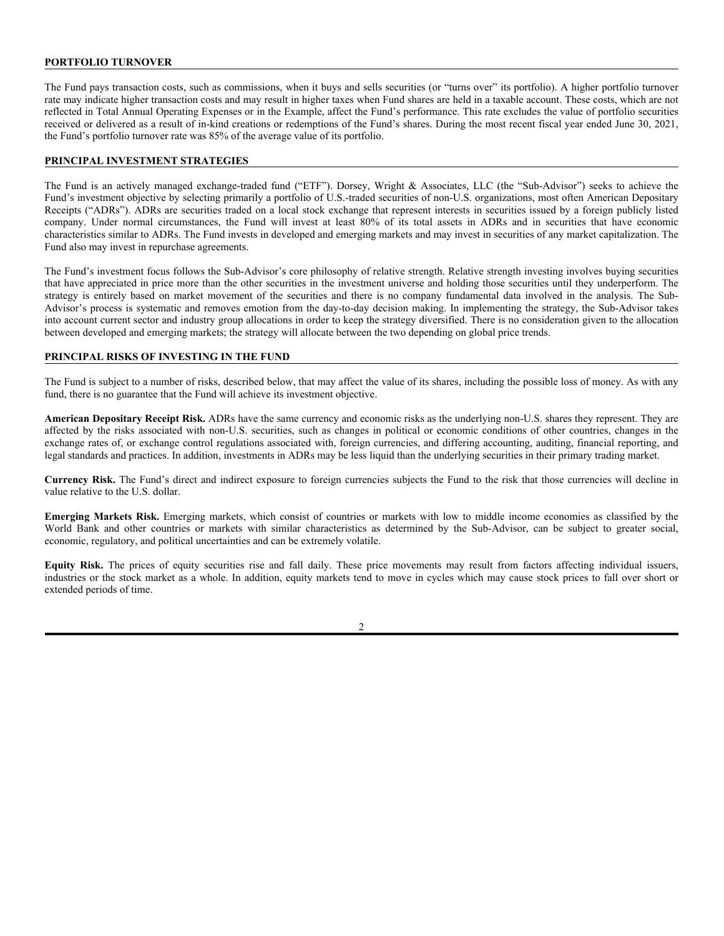## **PORTFOLIO TURNOVER**

The Fund pays transaction costs, such as commissions, when it buys and sells securities (or "turns over" its portfolio). A higher portfolio turnover rate may indicate higher transaction costs and may result in higher taxes when Fund shares are held in a taxable account. These costs, which are not reflected in Total Annual Operating Expenses or in the Example, affect the Fund's performance. This rate excludes the value of portfolio securities received or delivered as a result of in-kind creations or redemptions of the Fund's shares. During the most recent fiscal year ended June 30, 2021, the Fund's portfolio turnover rate was 85% of the average value of its portfolio.

## **PRINCIPAL INVESTMENT STRATEGIES**

The Fund is an actively managed exchange-traded fund ("ETF"). Dorsey, Wright & Associates, LLC (the "Sub-Advisor") seeks to achieve the Fund's investment objective by selecting primarily a portfolio of U.S.-traded securities of non-U.S. organizations, most often American Depositary Receipts ("ADRs"). ADRs are securities traded on a local stock exchange that represent interests in securities issued by a foreign publicly listed company. Under normal circumstances, the Fund will invest at least 80% of its total assets in ADRs and in securities that have economic characteristics similar to ADRs. The Fund invests in developed and emerging markets and may invest in securities of any market capitalization. The Fund also may invest in repurchase agreements.

The Fund's investment focus follows the Sub-Advisor's core philosophy of relative strength. Relative strength investing involves buying securities that have appreciated in price more than the other securities in the investment universe and holding those securities until they underperform. The strategy is entirely based on market movement of the securities and there is no company fundamental data involved in the analysis. The Sub-Advisor's process is systematic and removes emotion from the day-to-day decision making. In implementing the strategy, the Sub-Advisor takes into account current sector and industry group allocations in order to keep the strategy diversified. There is no consideration given to the allocation between developed and emerging markets; the strategy will allocate between the two depending on global price trends.

## **PRINCIPAL RISKS OF INVESTING IN THE FUND**

The Fund is subject to a number of risks, described below, that may affect the value of its shares, including the possible loss of money. As with any fund, there is no guarantee that the Fund will achieve its investment objective.

**American Depositary Receipt Risk.** ADRs have the same currency and economic risks as the underlying non-U.S. shares they represent. They are affected by the risks associated with non-U.S. securities, such as changes in political or economic conditions of other countries, changes in the exchange rates of, or exchange control regulations associated with, foreign currencies, and differing accounting, auditing, financial reporting, and legal standards and practices. In addition, investments in ADRs may be less liquid than the underlying securities in their primary trading market.

**Currency Risk.** The Fund's direct and indirect exposure to foreign currencies subjects the Fund to the risk that those currencies will decline in value relative to the U.S. dollar.

**Emerging Markets Risk.** Emerging markets, which consist of countries or markets with low to middle income economies as classified by the World Bank and other countries or markets with similar characteristics as determined by the Sub-Advisor, can be subject to greater social, economic, regulatory, and political uncertainties and can be extremely volatile.

**Equity Risk.** The prices of equity securities rise and fall daily. These price movements may result from factors affecting individual issuers, industries or the stock market as a whole. In addition, equity markets tend to move in cycles which may cause stock prices to fall over short or extended periods of time.

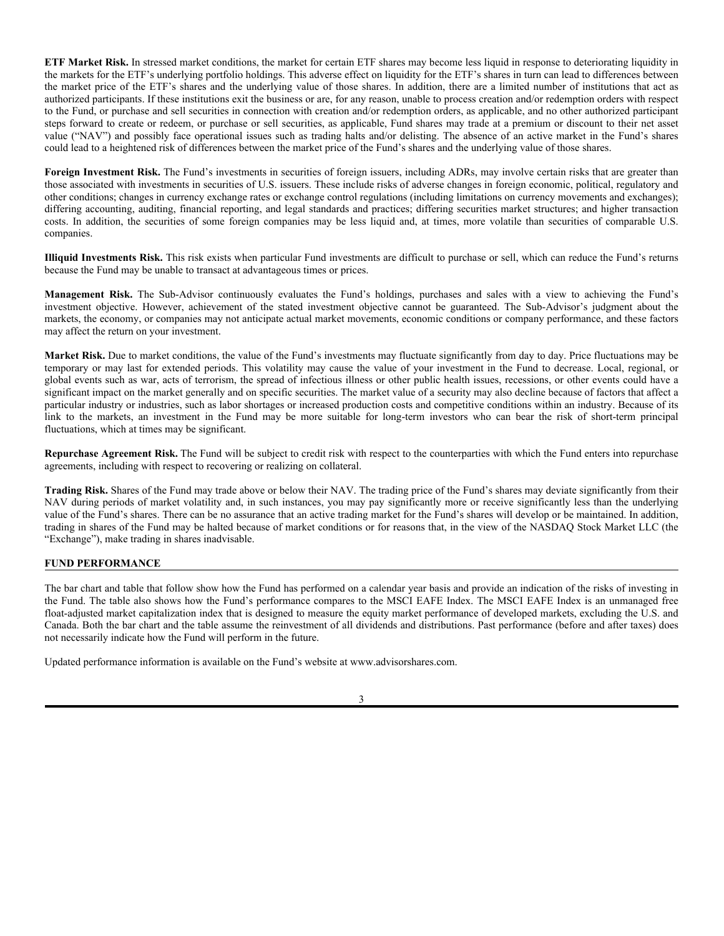**ETF Market Risk.** In stressed market conditions, the market for certain ETF shares may become less liquid in response to deteriorating liquidity in the markets for the ETF's underlying portfolio holdings. This adverse effect on liquidity for the ETF's shares in turn can lead to differences between the market price of the ETF's shares and the underlying value of those shares. In addition, there are a limited number of institutions that act as authorized participants. If these institutions exit the business or are, for any reason, unable to process creation and/or redemption orders with respect to the Fund, or purchase and sell securities in connection with creation and/or redemption orders, as applicable, and no other authorized participant steps forward to create or redeem, or purchase or sell securities, as applicable, Fund shares may trade at a premium or discount to their net asset value ("NAV") and possibly face operational issues such as trading halts and/or delisting. The absence of an active market in the Fund's shares could lead to a heightened risk of differences between the market price of the Fund's shares and the underlying value of those shares.

**Foreign Investment Risk.** The Fund's investments in securities of foreign issuers, including ADRs, may involve certain risks that are greater than those associated with investments in securities of U.S. issuers. These include risks of adverse changes in foreign economic, political, regulatory and other conditions; changes in currency exchange rates or exchange control regulations (including limitations on currency movements and exchanges); differing accounting, auditing, financial reporting, and legal standards and practices; differing securities market structures; and higher transaction costs. In addition, the securities of some foreign companies may be less liquid and, at times, more volatile than securities of comparable U.S. companies.

**Illiquid Investments Risk.** This risk exists when particular Fund investments are difficult to purchase or sell, which can reduce the Fund's returns because the Fund may be unable to transact at advantageous times or prices.

**Management Risk.** The Sub-Advisor continuously evaluates the Fund's holdings, purchases and sales with a view to achieving the Fund's investment objective. However, achievement of the stated investment objective cannot be guaranteed. The Sub-Advisor's judgment about the markets, the economy, or companies may not anticipate actual market movements, economic conditions or company performance, and these factors may affect the return on your investment.

**Market Risk.** Due to market conditions, the value of the Fund's investments may fluctuate significantly from day to day. Price fluctuations may be temporary or may last for extended periods. This volatility may cause the value of your investment in the Fund to decrease. Local, regional, or global events such as war, acts of terrorism, the spread of infectious illness or other public health issues, recessions, or other events could have a significant impact on the market generally and on specific securities. The market value of a security may also decline because of factors that affect a particular industry or industries, such as labor shortages or increased production costs and competitive conditions within an industry. Because of its link to the markets, an investment in the Fund may be more suitable for long-term investors who can bear the risk of short-term principal fluctuations, which at times may be significant.

**Repurchase Agreement Risk.** The Fund will be subject to credit risk with respect to the counterparties with which the Fund enters into repurchase agreements, including with respect to recovering or realizing on collateral.

**Trading Risk.** Shares of the Fund may trade above or below their NAV. The trading price of the Fund's shares may deviate significantly from their NAV during periods of market volatility and, in such instances, you may pay significantly more or receive significantly less than the underlying value of the Fund's shares. There can be no assurance that an active trading market for the Fund's shares will develop or be maintained. In addition, trading in shares of the Fund may be halted because of market conditions or for reasons that, in the view of the NASDAQ Stock Market LLC (the "Exchange"), make trading in shares inadvisable.

## **FUND PERFORMANCE**

The bar chart and table that follow show how the Fund has performed on a calendar year basis and provide an indication of the risks of investing in the Fund. The table also shows how the Fund's performance compares to the MSCI EAFE Index. The MSCI EAFE Index is an unmanaged free float-adjusted market capitalization index that is designed to measure the equity market performance of developed markets, excluding the U.S. and Canada. Both the bar chart and the table assume the reinvestment of all dividends and distributions. Past performance (before and after taxes) does not necessarily indicate how the Fund will perform in the future.

Updated performance information is available on the Fund's website at www.advisorshares.com.

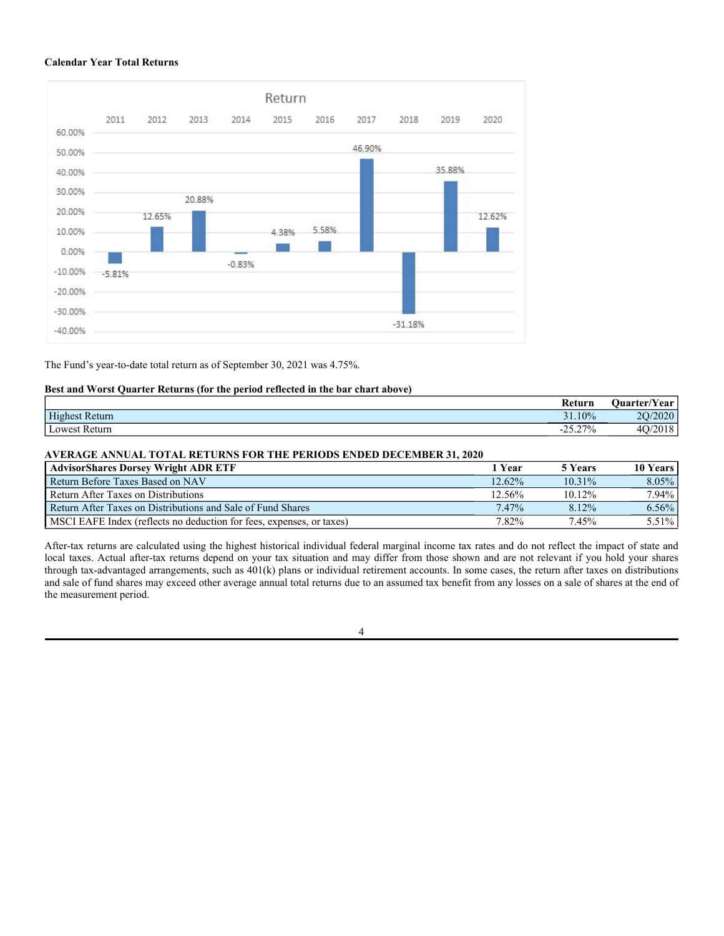#### **Calendar Year Total Returns**



The Fund's year-to-date total return as of September 30, 2021 was 4.75%.

## **Best and Worst Quarter Returns (for the period reflected in the bar chart above)**

|                | Return       | $\sim$<br><b>Ouarter/Year</b> |
|----------------|--------------|-------------------------------|
| Highest Return | 31.10%<br>21 | /2020<br>nΩ                   |
| Lowest Return  | $-25.27\%$   | 4 <sub>O</sub><br>2010        |

## **AVERAGE ANNUAL TOTAL RETURNS FOR THE PERIODS ENDED DECEMBER 31, 2020**

| <b>AdvisorShares Dorsey Wright ADR ETF</b>                           | 1 Year    | 5 Years   | <b>10 Years</b> |
|----------------------------------------------------------------------|-----------|-----------|-----------------|
| Return Before Taxes Based on NAV                                     | $12.62\%$ | $10.31\%$ | $8.05\%$        |
| Return After Taxes on Distributions                                  | 12.56%    | 10.12%    | 7.94%           |
| Return After Taxes on Distributions and Sale of Fund Shares          | $7.47\%$  | 8.12%     | 6.56%           |
| MSCI EAFE Index (reflects no deduction for fees, expenses, or taxes) | 7.82%     | 7.45%     | 5.51%           |

After-tax returns are calculated using the highest historical individual federal marginal income tax rates and do not reflect the impact of state and local taxes. Actual after-tax returns depend on your tax situation and may differ from those shown and are not relevant if you hold your shares through tax-advantaged arrangements, such as 401(k) plans or individual retirement accounts. In some cases, the return after taxes on distributions and sale of fund shares may exceed other average annual total returns due to an assumed tax benefit from any losses on a sale of shares at the end of the measurement period.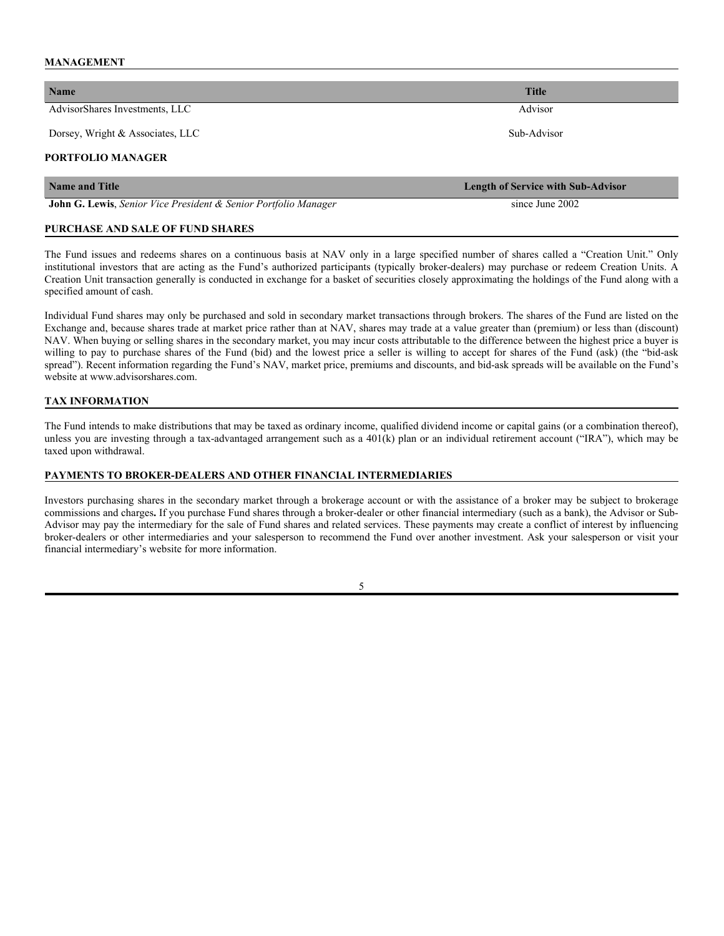## **MANAGEMENT**

| <b>Name</b>                                                     | <b>Title</b>                              |  |  |  |
|-----------------------------------------------------------------|-------------------------------------------|--|--|--|
| AdvisorShares Investments, LLC                                  | Advisor                                   |  |  |  |
| Dorsey, Wright & Associates, LLC                                | Sub-Advisor                               |  |  |  |
| <b>PORTFOLIO MANAGER</b>                                        |                                           |  |  |  |
| Name and Title                                                  | <b>Length of Service with Sub-Advisor</b> |  |  |  |
| John G. Lewis, Senior Vice President & Senior Portfolio Manager | since June 2002                           |  |  |  |

## **PURCHASE AND SALE OF FUND SHARES**

The Fund issues and redeems shares on a continuous basis at NAV only in a large specified number of shares called a "Creation Unit." Only institutional investors that are acting as the Fund's authorized participants (typically broker-dealers) may purchase or redeem Creation Units. A Creation Unit transaction generally is conducted in exchange for a basket of securities closely approximating the holdings of the Fund along with a specified amount of cash.

Individual Fund shares may only be purchased and sold in secondary market transactions through brokers. The shares of the Fund are listed on the Exchange and, because shares trade at market price rather than at NAV, shares may trade at a value greater than (premium) or less than (discount) NAV. When buying or selling shares in the secondary market, you may incur costs attributable to the difference between the highest price a buyer is willing to pay to purchase shares of the Fund (bid) and the lowest price a seller is willing to accept for shares of the Fund (ask) (the "bid-ask spread"). Recent information regarding the Fund's NAV, market price, premiums and discounts, and bid-ask spreads will be available on the Fund's website at www.advisorshares.com.

## **TAX INFORMATION**

The Fund intends to make distributions that may be taxed as ordinary income, qualified dividend income or capital gains (or a combination thereof), unless you are investing through a tax-advantaged arrangement such as a 401(k) plan or an individual retirement account ("IRA"), which may be taxed upon withdrawal.

#### **PAYMENTS TO BROKER-DEALERS AND OTHER FINANCIAL INTERMEDIARIES**

Investors purchasing shares in the secondary market through a brokerage account or with the assistance of a broker may be subject to brokerage commissions and charges**.** If you purchase Fund shares through a broker-dealer or other financial intermediary (such as a bank), the Advisor or Sub-Advisor may pay the intermediary for the sale of Fund shares and related services. These payments may create a conflict of interest by influencing broker-dealers or other intermediaries and your salesperson to recommend the Fund over another investment. Ask your salesperson or visit your financial intermediary's website for more information.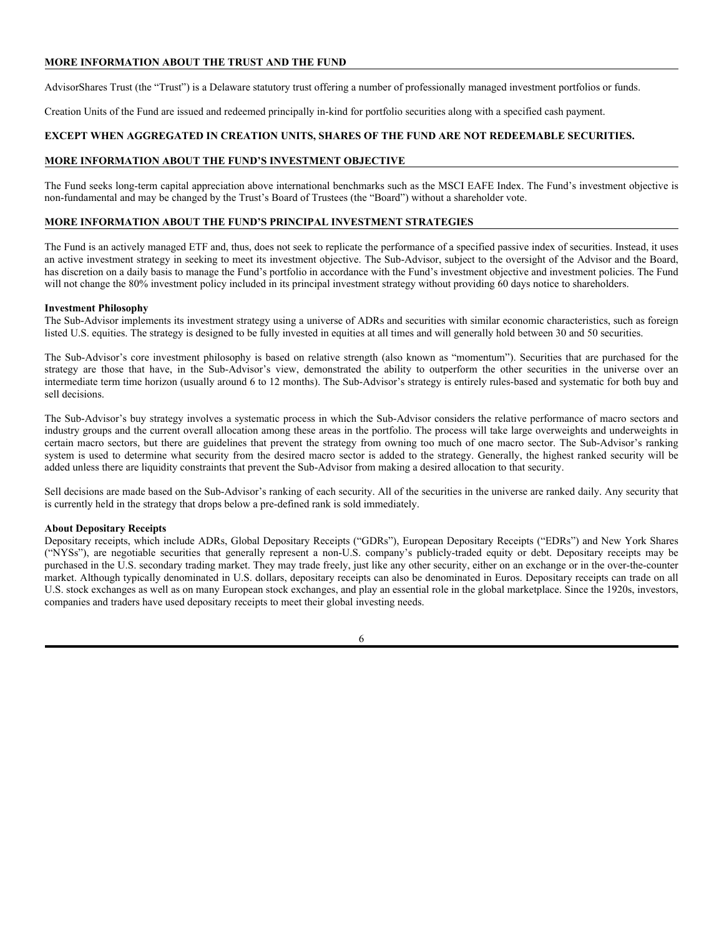## **MORE INFORMATION ABOUT THE TRUST AND THE FUND**

AdvisorShares Trust (the "Trust") is a Delaware statutory trust offering a number of professionally managed investment portfolios or funds.

Creation Units of the Fund are issued and redeemed principally in-kind for portfolio securities along with a specified cash payment.

## **EXCEPT WHEN AGGREGATED IN CREATION UNITS, SHARES OF THE FUND ARE NOT REDEEMABLE SECURITIES.**

## **MORE INFORMATION ABOUT THE FUND'S INVESTMENT OBJECTIVE**

The Fund seeks long-term capital appreciation above international benchmarks such as the MSCI EAFE Index. The Fund's investment objective is non-fundamental and may be changed by the Trust's Board of Trustees (the "Board") without a shareholder vote.

## **MORE INFORMATION ABOUT THE FUND'S PRINCIPAL INVESTMENT STRATEGIES**

The Fund is an actively managed ETF and, thus, does not seek to replicate the performance of a specified passive index of securities. Instead, it uses an active investment strategy in seeking to meet its investment objective. The Sub-Advisor, subject to the oversight of the Advisor and the Board, has discretion on a daily basis to manage the Fund's portfolio in accordance with the Fund's investment objective and investment policies. The Fund will not change the 80% investment policy included in its principal investment strategy without providing 60 days notice to shareholders.

#### **Investment Philosophy**

The Sub-Advisor implements its investment strategy using a universe of ADRs and securities with similar economic characteristics, such as foreign listed U.S. equities. The strategy is designed to be fully invested in equities at all times and will generally hold between 30 and 50 securities.

The Sub-Advisor's core investment philosophy is based on relative strength (also known as "momentum"). Securities that are purchased for the strategy are those that have, in the Sub-Advisor's view, demonstrated the ability to outperform the other securities in the universe over an intermediate term time horizon (usually around 6 to 12 months). The Sub-Advisor's strategy is entirely rules-based and systematic for both buy and sell decisions.

The Sub-Advisor's buy strategy involves a systematic process in which the Sub-Advisor considers the relative performance of macro sectors and industry groups and the current overall allocation among these areas in the portfolio. The process will take large overweights and underweights in certain macro sectors, but there are guidelines that prevent the strategy from owning too much of one macro sector. The Sub-Advisor's ranking system is used to determine what security from the desired macro sector is added to the strategy. Generally, the highest ranked security will be added unless there are liquidity constraints that prevent the Sub-Advisor from making a desired allocation to that security.

Sell decisions are made based on the Sub-Advisor's ranking of each security. All of the securities in the universe are ranked daily. Any security that is currently held in the strategy that drops below a pre-defined rank is sold immediately.

#### **About Depositary Receipts**

Depositary receipts, which include ADRs, Global Depositary Receipts ("GDRs"), European Depositary Receipts ("EDRs") and New York Shares ("NYSs"), are negotiable securities that generally represent a non-U.S. company's publicly-traded equity or debt. Depositary receipts may be purchased in the U.S. secondary trading market. They may trade freely, just like any other security, either on an exchange or in the over-the-counter market. Although typically denominated in U.S. dollars, depositary receipts can also be denominated in Euros. Depositary receipts can trade on all U.S. stock exchanges as well as on many European stock exchanges, and play an essential role in the global marketplace. Since the 1920s, investors, companies and traders have used depositary receipts to meet their global investing needs.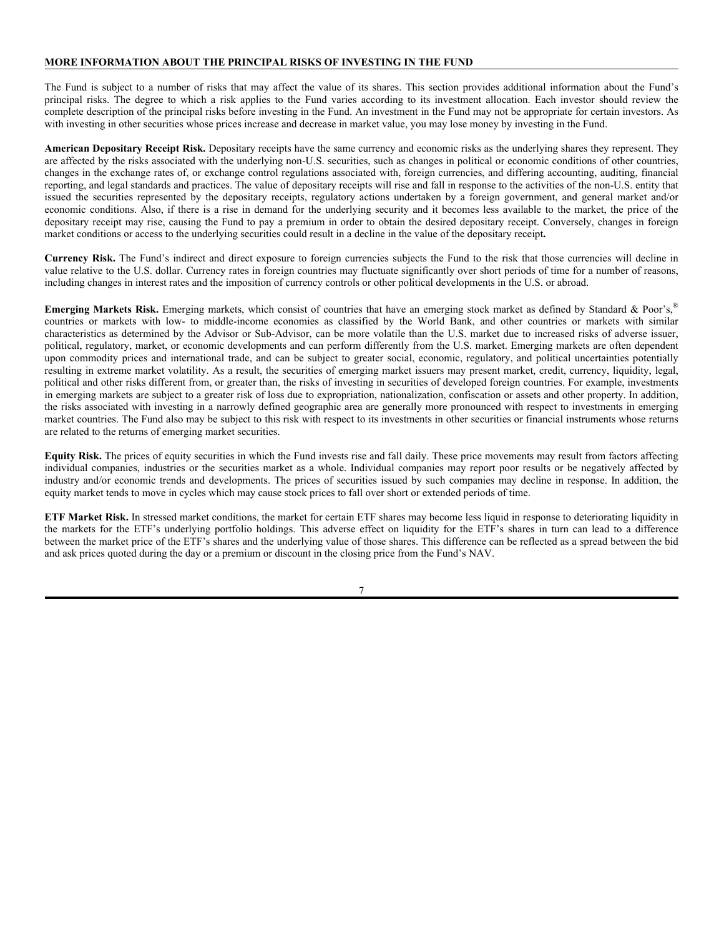## **MORE INFORMATION ABOUT THE PRINCIPAL RISKS OF INVESTING IN THE FUND**

The Fund is subject to a number of risks that may affect the value of its shares. This section provides additional information about the Fund's principal risks. The degree to which a risk applies to the Fund varies according to its investment allocation. Each investor should review the complete description of the principal risks before investing in the Fund. An investment in the Fund may not be appropriate for certain investors. As with investing in other securities whose prices increase and decrease in market value, you may lose money by investing in the Fund.

**American Depositary Receipt Risk.** Depositary receipts have the same currency and economic risks as the underlying shares they represent. They are affected by the risks associated with the underlying non-U.S. securities, such as changes in political or economic conditions of other countries, changes in the exchange rates of, or exchange control regulations associated with, foreign currencies, and differing accounting, auditing, financial reporting, and legal standards and practices. The value of depositary receipts will rise and fall in response to the activities of the non-U.S. entity that issued the securities represented by the depositary receipts, regulatory actions undertaken by a foreign government, and general market and/or economic conditions. Also, if there is a rise in demand for the underlying security and it becomes less available to the market, the price of the depositary receipt may rise, causing the Fund to pay a premium in order to obtain the desired depositary receipt. Conversely, changes in foreign market conditions or access to the underlying securities could result in a decline in the value of the depositary receipt**.**

**Currency Risk.** The Fund's indirect and direct exposure to foreign currencies subjects the Fund to the risk that those currencies will decline in value relative to the U.S. dollar. Currency rates in foreign countries may fluctuate significantly over short periods of time for a number of reasons, including changes in interest rates and the imposition of currency controls or other political developments in the U.S. or abroad.

**Emerging Markets Risk.** Emerging markets, which consist of countries that have an emerging stock market as defined by Standard & Poor's,® countries or markets with low- to middle-income economies as classified by the World Bank, and other countries or markets with similar characteristics as determined by the Advisor or Sub-Advisor, can be more volatile than the U.S. market due to increased risks of adverse issuer, political, regulatory, market, or economic developments and can perform differently from the U.S. market. Emerging markets are often dependent upon commodity prices and international trade, and can be subject to greater social, economic, regulatory, and political uncertainties potentially resulting in extreme market volatility. As a result, the securities of emerging market issuers may present market, credit, currency, liquidity, legal, political and other risks different from, or greater than, the risks of investing in securities of developed foreign countries. For example, investments in emerging markets are subject to a greater risk of loss due to expropriation, nationalization, confiscation or assets and other property. In addition, the risks associated with investing in a narrowly defined geographic area are generally more pronounced with respect to investments in emerging market countries. The Fund also may be subject to this risk with respect to its investments in other securities or financial instruments whose returns are related to the returns of emerging market securities.

**Equity Risk.** The prices of equity securities in which the Fund invests rise and fall daily. These price movements may result from factors affecting individual companies, industries or the securities market as a whole. Individual companies may report poor results or be negatively affected by industry and/or economic trends and developments. The prices of securities issued by such companies may decline in response. In addition, the equity market tends to move in cycles which may cause stock prices to fall over short or extended periods of time.

**ETF Market Risk.** In stressed market conditions, the market for certain ETF shares may become less liquid in response to deteriorating liquidity in the markets for the ETF's underlying portfolio holdings. This adverse effect on liquidity for the ETF's shares in turn can lead to a difference between the market price of the ETF's shares and the underlying value of those shares. This difference can be reflected as a spread between the bid and ask prices quoted during the day or a premium or discount in the closing price from the Fund's NAV.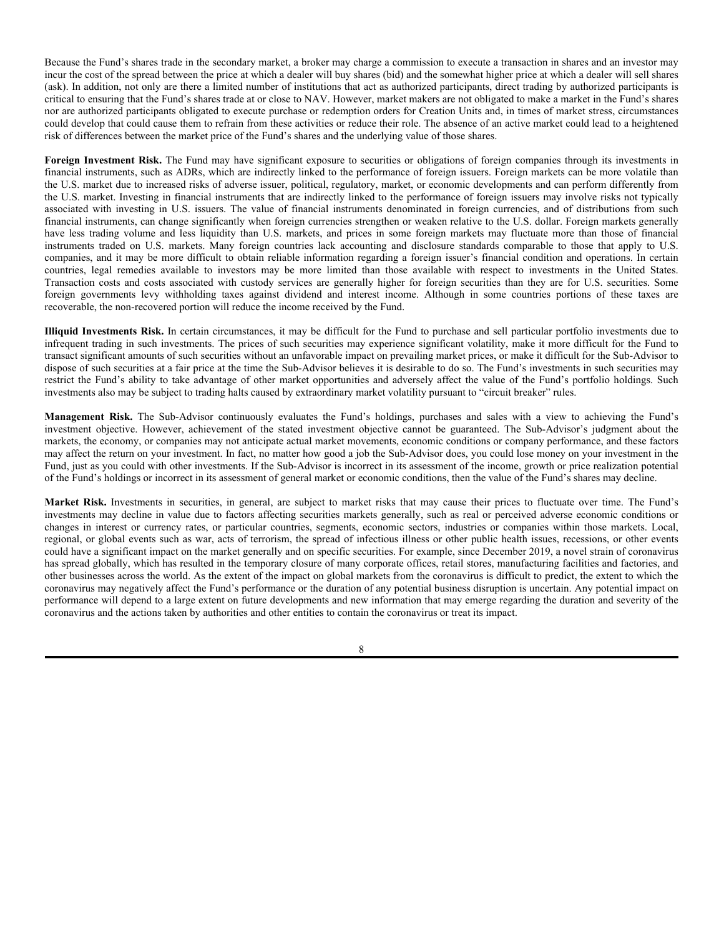Because the Fund's shares trade in the secondary market, a broker may charge a commission to execute a transaction in shares and an investor may incur the cost of the spread between the price at which a dealer will buy shares (bid) and the somewhat higher price at which a dealer will sell shares (ask). In addition, not only are there a limited number of institutions that act as authorized participants, direct trading by authorized participants is critical to ensuring that the Fund's shares trade at or close to NAV. However, market makers are not obligated to make a market in the Fund's shares nor are authorized participants obligated to execute purchase or redemption orders for Creation Units and, in times of market stress, circumstances could develop that could cause them to refrain from these activities or reduce their role. The absence of an active market could lead to a heightened risk of differences between the market price of the Fund's shares and the underlying value of those shares.

Foreign Investment Risk. The Fund may have significant exposure to securities or obligations of foreign companies through its investments in financial instruments, such as ADRs, which are indirectly linked to the performance of foreign issuers. Foreign markets can be more volatile than the U.S. market due to increased risks of adverse issuer, political, regulatory, market, or economic developments and can perform differently from the U.S. market. Investing in financial instruments that are indirectly linked to the performance of foreign issuers may involve risks not typically associated with investing in U.S. issuers. The value of financial instruments denominated in foreign currencies, and of distributions from such financial instruments, can change significantly when foreign currencies strengthen or weaken relative to the U.S. dollar. Foreign markets generally have less trading volume and less liquidity than U.S. markets, and prices in some foreign markets may fluctuate more than those of financial instruments traded on U.S. markets. Many foreign countries lack accounting and disclosure standards comparable to those that apply to U.S. companies, and it may be more difficult to obtain reliable information regarding a foreign issuer's financial condition and operations. In certain countries, legal remedies available to investors may be more limited than those available with respect to investments in the United States. Transaction costs and costs associated with custody services are generally higher for foreign securities than they are for U.S. securities. Some foreign governments levy withholding taxes against dividend and interest income. Although in some countries portions of these taxes are recoverable, the non-recovered portion will reduce the income received by the Fund.

**Illiquid Investments Risk.** In certain circumstances, it may be difficult for the Fund to purchase and sell particular portfolio investments due to infrequent trading in such investments. The prices of such securities may experience significant volatility, make it more difficult for the Fund to transact significant amounts of such securities without an unfavorable impact on prevailing market prices, or make it difficult for the Sub-Advisor to dispose of such securities at a fair price at the time the Sub-Advisor believes it is desirable to do so. The Fund's investments in such securities may restrict the Fund's ability to take advantage of other market opportunities and adversely affect the value of the Fund's portfolio holdings. Such investments also may be subject to trading halts caused by extraordinary market volatility pursuant to "circuit breaker" rules.

**Management Risk.** The Sub-Advisor continuously evaluates the Fund's holdings, purchases and sales with a view to achieving the Fund's investment objective. However, achievement of the stated investment objective cannot be guaranteed. The Sub-Advisor's judgment about the markets, the economy, or companies may not anticipate actual market movements, economic conditions or company performance, and these factors may affect the return on your investment. In fact, no matter how good a job the Sub-Advisor does, you could lose money on your investment in the Fund, just as you could with other investments. If the Sub-Advisor is incorrect in its assessment of the income, growth or price realization potential of the Fund's holdings or incorrect in its assessment of general market or economic conditions, then the value of the Fund's shares may decline.

**Market Risk.** Investments in securities, in general, are subject to market risks that may cause their prices to fluctuate over time. The Fund's investments may decline in value due to factors affecting securities markets generally, such as real or perceived adverse economic conditions or changes in interest or currency rates, or particular countries, segments, economic sectors, industries or companies within those markets. Local, regional, or global events such as war, acts of terrorism, the spread of infectious illness or other public health issues, recessions, or other events could have a significant impact on the market generally and on specific securities. For example, since December 2019, a novel strain of coronavirus has spread globally, which has resulted in the temporary closure of many corporate offices, retail stores, manufacturing facilities and factories, and other businesses across the world. As the extent of the impact on global markets from the coronavirus is difficult to predict, the extent to which the coronavirus may negatively affect the Fund's performance or the duration of any potential business disruption is uncertain. Any potential impact on performance will depend to a large extent on future developments and new information that may emerge regarding the duration and severity of the coronavirus and the actions taken by authorities and other entities to contain the coronavirus or treat its impact.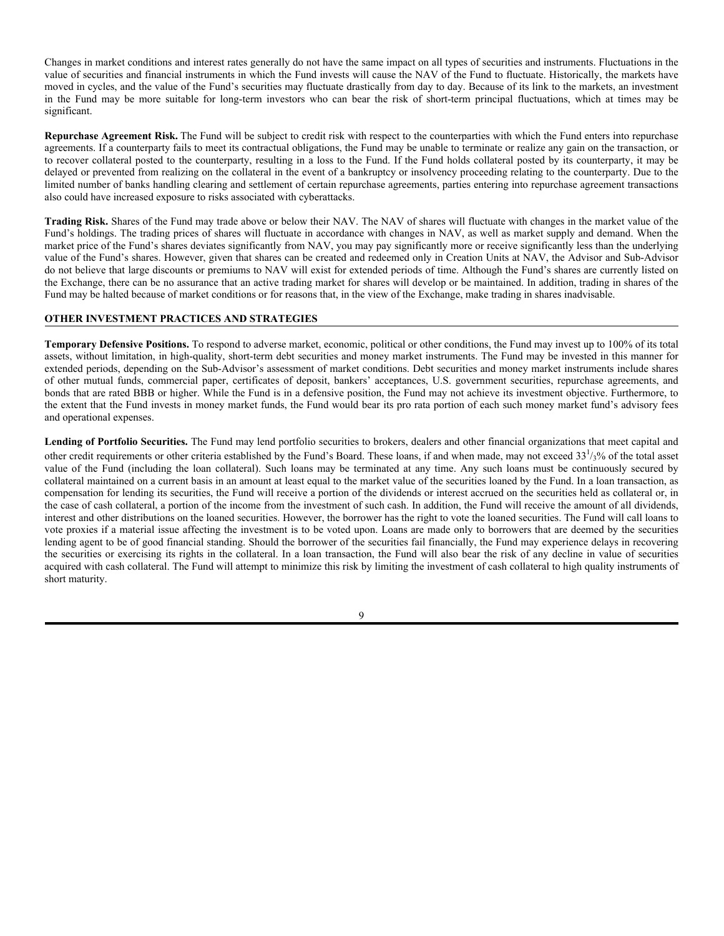Changes in market conditions and interest rates generally do not have the same impact on all types of securities and instruments. Fluctuations in the value of securities and financial instruments in which the Fund invests will cause the NAV of the Fund to fluctuate. Historically, the markets have moved in cycles, and the value of the Fund's securities may fluctuate drastically from day to day. Because of its link to the markets, an investment in the Fund may be more suitable for long-term investors who can bear the risk of short-term principal fluctuations, which at times may be significant.

**Repurchase Agreement Risk.** The Fund will be subject to credit risk with respect to the counterparties with which the Fund enters into repurchase agreements. If a counterparty fails to meet its contractual obligations, the Fund may be unable to terminate or realize any gain on the transaction, or to recover collateral posted to the counterparty, resulting in a loss to the Fund. If the Fund holds collateral posted by its counterparty, it may be delayed or prevented from realizing on the collateral in the event of a bankruptcy or insolvency proceeding relating to the counterparty. Due to the limited number of banks handling clearing and settlement of certain repurchase agreements, parties entering into repurchase agreement transactions also could have increased exposure to risks associated with cyberattacks.

**Trading Risk.** Shares of the Fund may trade above or below their NAV. The NAV of shares will fluctuate with changes in the market value of the Fund's holdings. The trading prices of shares will fluctuate in accordance with changes in NAV, as well as market supply and demand. When the market price of the Fund's shares deviates significantly from NAV, you may pay significantly more or receive significantly less than the underlying value of the Fund's shares. However, given that shares can be created and redeemed only in Creation Units at NAV, the Advisor and Sub-Advisor do not believe that large discounts or premiums to NAV will exist for extended periods of time. Although the Fund's shares are currently listed on the Exchange, there can be no assurance that an active trading market for shares will develop or be maintained. In addition, trading in shares of the Fund may be halted because of market conditions or for reasons that, in the view of the Exchange, make trading in shares inadvisable.

## **OTHER INVESTMENT PRACTICES AND STRATEGIES**

**Temporary Defensive Positions.** To respond to adverse market, economic, political or other conditions, the Fund may invest up to 100% of its total assets, without limitation, in high-quality, short-term debt securities and money market instruments. The Fund may be invested in this manner for extended periods, depending on the Sub-Advisor's assessment of market conditions. Debt securities and money market instruments include shares of other mutual funds, commercial paper, certificates of deposit, bankers' acceptances, U.S. government securities, repurchase agreements, and bonds that are rated BBB or higher. While the Fund is in a defensive position, the Fund may not achieve its investment objective. Furthermore, to the extent that the Fund invests in money market funds, the Fund would bear its pro rata portion of each such money market fund's advisory fees and operational expenses.

**Lending of Portfolio Securities.** The Fund may lend portfolio securities to brokers, dealers and other financial organizations that meet capital and other credit requirements or other criteria established by the Fund's Board. These loans, if and when made, may not exceed  $33^{1/3}$ % of the total asset value of the Fund (including the loan collateral). Such loans may be terminated at any time. Any such loans must be continuously secured by collateral maintained on a current basis in an amount at least equal to the market value of the securities loaned by the Fund. In a loan transaction, as compensation for lending its securities, the Fund will receive a portion of the dividends or interest accrued on the securities held as collateral or, in the case of cash collateral, a portion of the income from the investment of such cash. In addition, the Fund will receive the amount of all dividends, interest and other distributions on the loaned securities. However, the borrower has the right to vote the loaned securities. The Fund will call loans to vote proxies if a material issue affecting the investment is to be voted upon. Loans are made only to borrowers that are deemed by the securities lending agent to be of good financial standing. Should the borrower of the securities fail financially, the Fund may experience delays in recovering the securities or exercising its rights in the collateral. In a loan transaction, the Fund will also bear the risk of any decline in value of securities acquired with cash collateral. The Fund will attempt to minimize this risk by limiting the investment of cash collateral to high quality instruments of short maturity.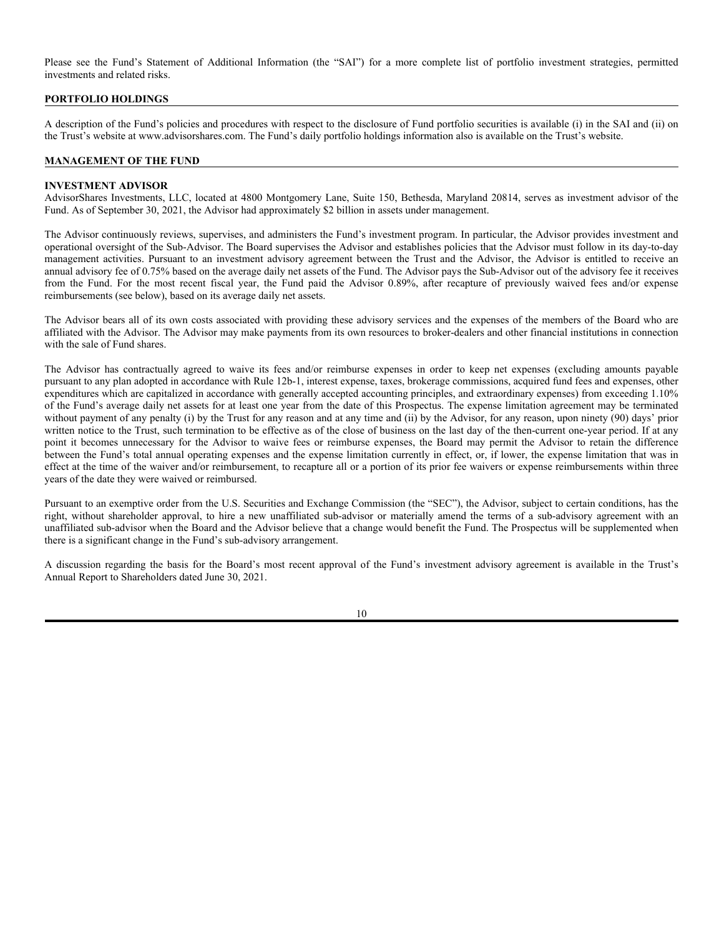Please see the Fund's Statement of Additional Information (the "SAI") for a more complete list of portfolio investment strategies, permitted investments and related risks.

#### **PORTFOLIO HOLDINGS**

A description of the Fund's policies and procedures with respect to the disclosure of Fund portfolio securities is available (i) in the SAI and (ii) on the Trust's website at www.advisorshares.com. The Fund's daily portfolio holdings information also is available on the Trust's website.

## **MANAGEMENT OF THE FUND**

## **INVESTMENT ADVISOR**

AdvisorShares Investments, LLC, located at 4800 Montgomery Lane, Suite 150, Bethesda, Maryland 20814, serves as investment advisor of the Fund. As of September 30, 2021, the Advisor had approximately \$2 billion in assets under management.

The Advisor continuously reviews, supervises, and administers the Fund's investment program. In particular, the Advisor provides investment and operational oversight of the Sub-Advisor. The Board supervises the Advisor and establishes policies that the Advisor must follow in its day-to-day management activities. Pursuant to an investment advisory agreement between the Trust and the Advisor, the Advisor is entitled to receive an annual advisory fee of 0.75% based on the average daily net assets of the Fund. The Advisor pays the Sub-Advisor out of the advisory fee it receives from the Fund. For the most recent fiscal year, the Fund paid the Advisor 0.89%, after recapture of previously waived fees and/or expense reimbursements (see below), based on its average daily net assets.

The Advisor bears all of its own costs associated with providing these advisory services and the expenses of the members of the Board who are affiliated with the Advisor. The Advisor may make payments from its own resources to broker-dealers and other financial institutions in connection with the sale of Fund shares.

The Advisor has contractually agreed to waive its fees and/or reimburse expenses in order to keep net expenses (excluding amounts payable pursuant to any plan adopted in accordance with Rule 12b-1, interest expense, taxes, brokerage commissions, acquired fund fees and expenses, other expenditures which are capitalized in accordance with generally accepted accounting principles, and extraordinary expenses) from exceeding 1.10% of the Fund's average daily net assets for at least one year from the date of this Prospectus. The expense limitation agreement may be terminated without payment of any penalty (i) by the Trust for any reason and at any time and (ii) by the Advisor, for any reason, upon ninety (90) days' prior written notice to the Trust, such termination to be effective as of the close of business on the last day of the then-current one-year period. If at any point it becomes unnecessary for the Advisor to waive fees or reimburse expenses, the Board may permit the Advisor to retain the difference between the Fund's total annual operating expenses and the expense limitation currently in effect, or, if lower, the expense limitation that was in effect at the time of the waiver and/or reimbursement, to recapture all or a portion of its prior fee waivers or expense reimbursements within three years of the date they were waived or reimbursed.

Pursuant to an exemptive order from the U.S. Securities and Exchange Commission (the "SEC"), the Advisor, subject to certain conditions, has the right, without shareholder approval, to hire a new unaffiliated sub-advisor or materially amend the terms of a sub-advisory agreement with an unaffiliated sub-advisor when the Board and the Advisor believe that a change would benefit the Fund. The Prospectus will be supplemented when there is a significant change in the Fund's sub-advisory arrangement.

A discussion regarding the basis for the Board's most recent approval of the Fund's investment advisory agreement is available in the Trust's Annual Report to Shareholders dated June 30, 2021.

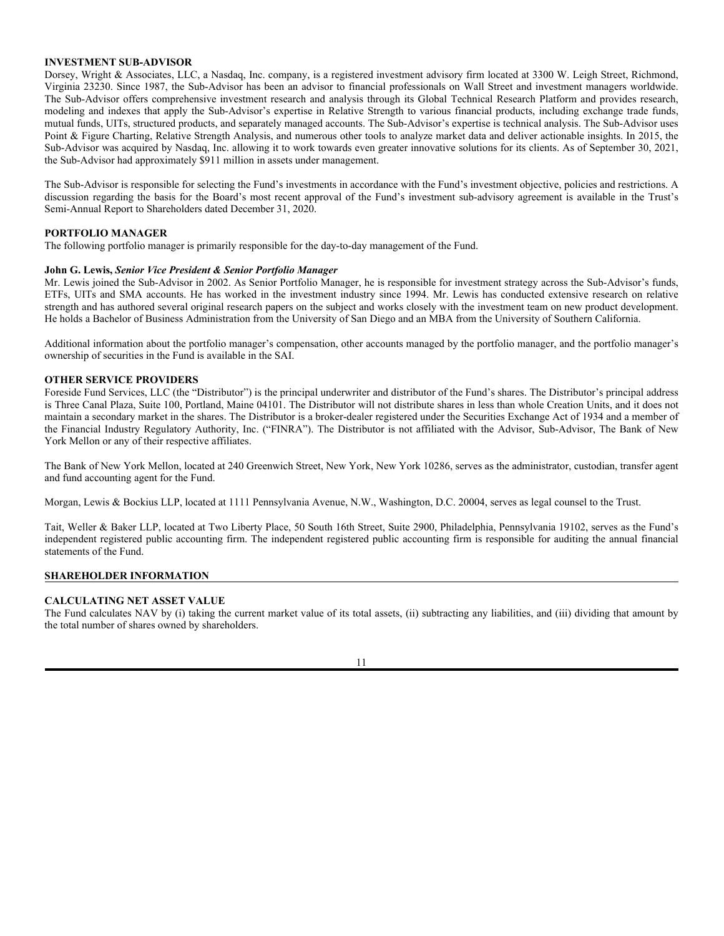## **INVESTMENT SUB-ADVISOR**

Dorsey, Wright & Associates, LLC, a Nasdaq, Inc. company, is a registered investment advisory firm located at 3300 W. Leigh Street, Richmond, Virginia 23230. Since 1987, the Sub-Advisor has been an advisor to financial professionals on Wall Street and investment managers worldwide. The Sub-Advisor offers comprehensive investment research and analysis through its Global Technical Research Platform and provides research, modeling and indexes that apply the Sub-Advisor's expertise in Relative Strength to various financial products, including exchange trade funds, mutual funds, UITs, structured products, and separately managed accounts. The Sub-Advisor's expertise is technical analysis. The Sub-Advisor uses Point & Figure Charting, Relative Strength Analysis, and numerous other tools to analyze market data and deliver actionable insights. In 2015, the Sub-Advisor was acquired by Nasdaq, Inc. allowing it to work towards even greater innovative solutions for its clients. As of September 30, 2021, the Sub-Advisor had approximately \$911 million in assets under management.

The Sub-Advisor is responsible for selecting the Fund's investments in accordance with the Fund's investment objective, policies and restrictions. A discussion regarding the basis for the Board's most recent approval of the Fund's investment sub-advisory agreement is available in the Trust's Semi-Annual Report to Shareholders dated December 31, 2020.

#### **PORTFOLIO MANAGER**

The following portfolio manager is primarily responsible for the day-to-day management of the Fund.

#### **John G. Lewis,** *Senior Vice President & Senior Portfolio Manager*

Mr. Lewis joined the Sub-Advisor in 2002. As Senior Portfolio Manager, he is responsible for investment strategy across the Sub-Advisor's funds, ETFs, UITs and SMA accounts. He has worked in the investment industry since 1994. Mr. Lewis has conducted extensive research on relative strength and has authored several original research papers on the subject and works closely with the investment team on new product development. He holds a Bachelor of Business Administration from the University of San Diego and an MBA from the University of Southern California.

Additional information about the portfolio manager's compensation, other accounts managed by the portfolio manager, and the portfolio manager's ownership of securities in the Fund is available in the SAI.

## **OTHER SERVICE PROVIDERS**

Foreside Fund Services, LLC (the "Distributor") is the principal underwriter and distributor of the Fund's shares. The Distributor's principal address is Three Canal Plaza, Suite 100, Portland, Maine 04101. The Distributor will not distribute shares in less than whole Creation Units, and it does not maintain a secondary market in the shares. The Distributor is a broker-dealer registered under the Securities Exchange Act of 1934 and a member of the Financial Industry Regulatory Authority, Inc. ("FINRA"). The Distributor is not affiliated with the Advisor, Sub-Advisor, The Bank of New York Mellon or any of their respective affiliates.

The Bank of New York Mellon, located at 240 Greenwich Street, New York, New York 10286, serves as the administrator, custodian, transfer agent and fund accounting agent for the Fund.

Morgan, Lewis & Bockius LLP, located at 1111 Pennsylvania Avenue, N.W., Washington, D.C. 20004, serves as legal counsel to the Trust.

Tait, Weller & Baker LLP, located at Two Liberty Place, 50 South 16th Street, Suite 2900, Philadelphia, Pennsylvania 19102, serves as the Fund's independent registered public accounting firm. The independent registered public accounting firm is responsible for auditing the annual financial statements of the Fund.

## **SHAREHOLDER INFORMATION**

## **CALCULATING NET ASSET VALUE**

The Fund calculates NAV by (i) taking the current market value of its total assets, (ii) subtracting any liabilities, and (iii) dividing that amount by the total number of shares owned by shareholders.

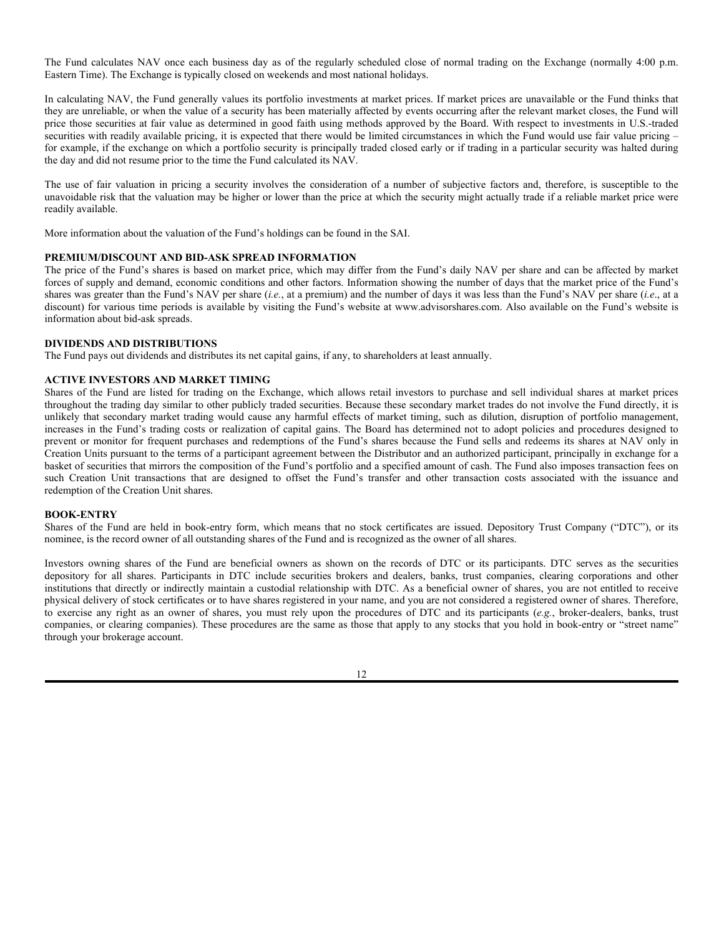The Fund calculates NAV once each business day as of the regularly scheduled close of normal trading on the Exchange (normally 4:00 p.m. Eastern Time). The Exchange is typically closed on weekends and most national holidays.

In calculating NAV, the Fund generally values its portfolio investments at market prices. If market prices are unavailable or the Fund thinks that they are unreliable, or when the value of a security has been materially affected by events occurring after the relevant market closes, the Fund will price those securities at fair value as determined in good faith using methods approved by the Board. With respect to investments in U.S.-traded securities with readily available pricing, it is expected that there would be limited circumstances in which the Fund would use fair value pricing – for example, if the exchange on which a portfolio security is principally traded closed early or if trading in a particular security was halted during the day and did not resume prior to the time the Fund calculated its NAV.

The use of fair valuation in pricing a security involves the consideration of a number of subjective factors and, therefore, is susceptible to the unavoidable risk that the valuation may be higher or lower than the price at which the security might actually trade if a reliable market price were readily available.

More information about the valuation of the Fund's holdings can be found in the SAI.

#### **PREMIUM/DISCOUNT AND BID-ASK SPREAD INFORMATION**

The price of the Fund's shares is based on market price, which may differ from the Fund's daily NAV per share and can be affected by market forces of supply and demand, economic conditions and other factors. Information showing the number of days that the market price of the Fund's shares was greater than the Fund's NAV per share (*i.e.*, at a premium) and the number of days it was less than the Fund's NAV per share (*i.e*., at a discount) for various time periods is available by visiting the Fund's website at www.advisorshares.com. Also available on the Fund's website is information about bid-ask spreads.

## **DIVIDENDS AND DISTRIBUTIONS**

The Fund pays out dividends and distributes its net capital gains, if any, to shareholders at least annually.

## **ACTIVE INVESTORS AND MARKET TIMING**

Shares of the Fund are listed for trading on the Exchange, which allows retail investors to purchase and sell individual shares at market prices throughout the trading day similar to other publicly traded securities. Because these secondary market trades do not involve the Fund directly, it is unlikely that secondary market trading would cause any harmful effects of market timing, such as dilution, disruption of portfolio management, increases in the Fund's trading costs or realization of capital gains. The Board has determined not to adopt policies and procedures designed to prevent or monitor for frequent purchases and redemptions of the Fund's shares because the Fund sells and redeems its shares at NAV only in Creation Units pursuant to the terms of a participant agreement between the Distributor and an authorized participant, principally in exchange for a basket of securities that mirrors the composition of the Fund's portfolio and a specified amount of cash. The Fund also imposes transaction fees on such Creation Unit transactions that are designed to offset the Fund's transfer and other transaction costs associated with the issuance and redemption of the Creation Unit shares.

#### **BOOK-ENTRY**

Shares of the Fund are held in book-entry form, which means that no stock certificates are issued. Depository Trust Company ("DTC"), or its nominee, is the record owner of all outstanding shares of the Fund and is recognized as the owner of all shares.

Investors owning shares of the Fund are beneficial owners as shown on the records of DTC or its participants. DTC serves as the securities depository for all shares. Participants in DTC include securities brokers and dealers, banks, trust companies, clearing corporations and other institutions that directly or indirectly maintain a custodial relationship with DTC. As a beneficial owner of shares, you are not entitled to receive physical delivery of stock certificates or to have shares registered in your name, and you are not considered a registered owner of shares. Therefore, to exercise any right as an owner of shares, you must rely upon the procedures of DTC and its participants (*e.g.*, broker-dealers, banks, trust companies, or clearing companies). These procedures are the same as those that apply to any stocks that you hold in book-entry or "street name" through your brokerage account.

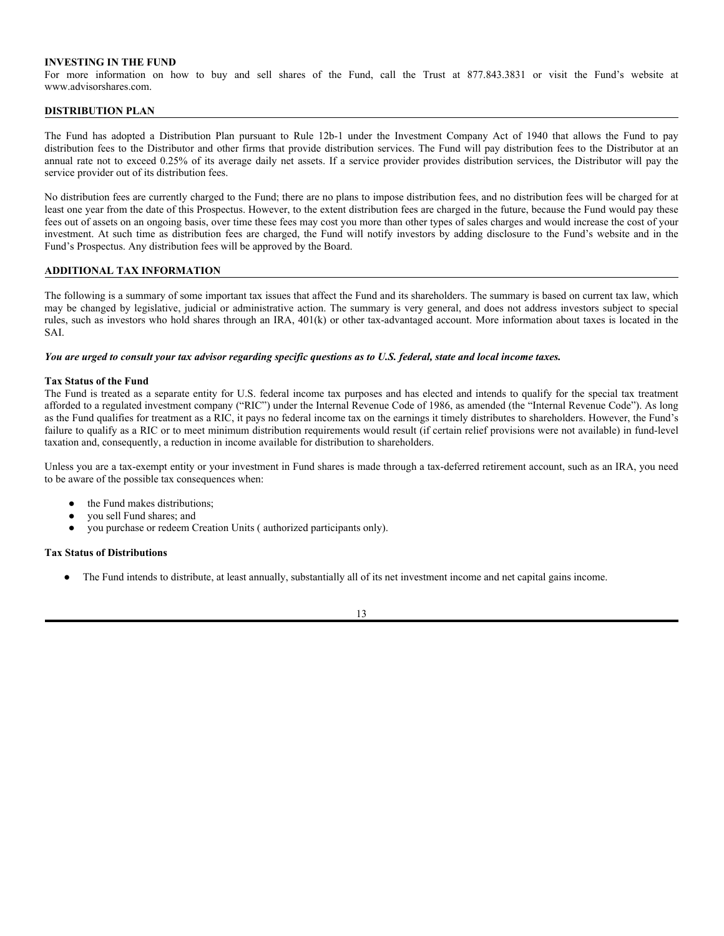## **INVESTING IN THE FUND**

For more information on how to buy and sell shares of the Fund, call the Trust at 877.843.3831 or visit the Fund's website at www.advisorshares.com.

### **DISTRIBUTION PLAN**

The Fund has adopted a Distribution Plan pursuant to Rule 12b-1 under the Investment Company Act of 1940 that allows the Fund to pay distribution fees to the Distributor and other firms that provide distribution services. The Fund will pay distribution fees to the Distributor at an annual rate not to exceed 0.25% of its average daily net assets. If a service provider provides distribution services, the Distributor will pay the service provider out of its distribution fees.

No distribution fees are currently charged to the Fund; there are no plans to impose distribution fees, and no distribution fees will be charged for at least one year from the date of this Prospectus. However, to the extent distribution fees are charged in the future, because the Fund would pay these fees out of assets on an ongoing basis, over time these fees may cost you more than other types of sales charges and would increase the cost of your investment. At such time as distribution fees are charged, the Fund will notify investors by adding disclosure to the Fund's website and in the Fund's Prospectus. Any distribution fees will be approved by the Board.

## **ADDITIONAL TAX INFORMATION**

The following is a summary of some important tax issues that affect the Fund and its shareholders. The summary is based on current tax law, which may be changed by legislative, judicial or administrative action. The summary is very general, and does not address investors subject to special rules, such as investors who hold shares through an IRA, 401(k) or other tax-advantaged account. More information about taxes is located in the SAI.

*You are urged to consult your tax advisor regarding specific questions as to U.S. federal, state and local income taxes.*

#### **Tax Status of the Fund**

The Fund is treated as a separate entity for U.S. federal income tax purposes and has elected and intends to qualify for the special tax treatment afforded to a regulated investment company ("RIC") under the Internal Revenue Code of 1986, as amended (the "Internal Revenue Code"). As long as the Fund qualifies for treatment as a RIC, it pays no federal income tax on the earnings it timely distributes to shareholders. However, the Fund's failure to qualify as a RIC or to meet minimum distribution requirements would result (if certain relief provisions were not available) in fund-level taxation and, consequently, a reduction in income available for distribution to shareholders.

Unless you are a tax-exempt entity or your investment in Fund shares is made through a tax-deferred retirement account, such as an IRA, you need to be aware of the possible tax consequences when:

- the Fund makes distributions:
- vou sell Fund shares; and
- you purchase or redeem Creation Units ( authorized participants only).

#### **Tax Status of Distributions**

The Fund intends to distribute, at least annually, substantially all of its net investment income and net capital gains income.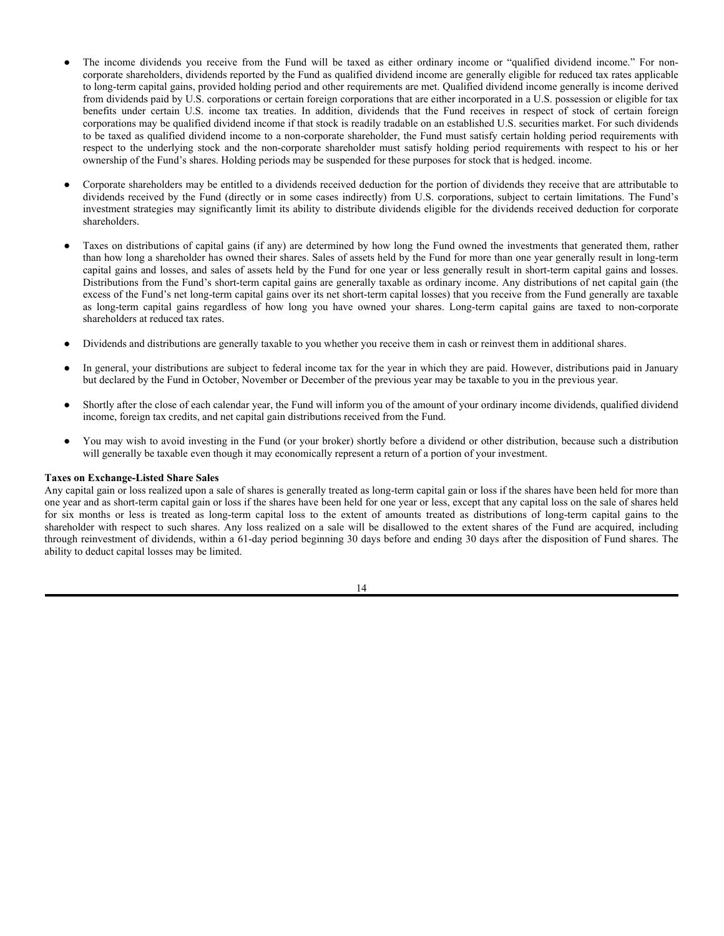- The income dividends you receive from the Fund will be taxed as either ordinary income or "qualified dividend income." For noncorporate shareholders, dividends reported by the Fund as qualified dividend income are generally eligible for reduced tax rates applicable to long-term capital gains, provided holding period and other requirements are met. Qualified dividend income generally is income derived from dividends paid by U.S. corporations or certain foreign corporations that are either incorporated in a U.S. possession or eligible for tax benefits under certain U.S. income tax treaties. In addition, dividends that the Fund receives in respect of stock of certain foreign corporations may be qualified dividend income if that stock is readily tradable on an established U.S. securities market. For such dividends to be taxed as qualified dividend income to a non-corporate shareholder, the Fund must satisfy certain holding period requirements with respect to the underlying stock and the non-corporate shareholder must satisfy holding period requirements with respect to his or her ownership of the Fund's shares. Holding periods may be suspended for these purposes for stock that is hedged. income.
- Corporate shareholders may be entitled to a dividends received deduction for the portion of dividends they receive that are attributable to dividends received by the Fund (directly or in some cases indirectly) from U.S. corporations, subject to certain limitations. The Fund's investment strategies may significantly limit its ability to distribute dividends eligible for the dividends received deduction for corporate shareholders.
- Taxes on distributions of capital gains (if any) are determined by how long the Fund owned the investments that generated them, rather than how long a shareholder has owned their shares. Sales of assets held by the Fund for more than one year generally result in long-term capital gains and losses, and sales of assets held by the Fund for one year or less generally result in short-term capital gains and losses. Distributions from the Fund's short-term capital gains are generally taxable as ordinary income. Any distributions of net capital gain (the excess of the Fund's net long-term capital gains over its net short-term capital losses) that you receive from the Fund generally are taxable as long-term capital gains regardless of how long you have owned your shares. Long-term capital gains are taxed to non-corporate shareholders at reduced tax rates.
- Dividends and distributions are generally taxable to you whether you receive them in cash or reinvest them in additional shares.
- In general, your distributions are subject to federal income tax for the year in which they are paid. However, distributions paid in January but declared by the Fund in October, November or December of the previous year may be taxable to you in the previous year.
- Shortly after the close of each calendar year, the Fund will inform you of the amount of your ordinary income dividends, qualified dividend income, foreign tax credits, and net capital gain distributions received from the Fund.
- You may wish to avoid investing in the Fund (or your broker) shortly before a dividend or other distribution, because such a distribution will generally be taxable even though it may economically represent a return of a portion of your investment.

#### **Taxes on Exchange-Listed Share Sales**

Any capital gain or loss realized upon a sale of shares is generally treated as long-term capital gain or loss if the shares have been held for more than one year and as short-term capital gain or loss if the shares have been held for one year or less, except that any capital loss on the sale of shares held for six months or less is treated as long-term capital loss to the extent of amounts treated as distributions of long-term capital gains to the shareholder with respect to such shares. Any loss realized on a sale will be disallowed to the extent shares of the Fund are acquired, including through reinvestment of dividends, within a 61-day period beginning 30 days before and ending 30 days after the disposition of Fund shares. The ability to deduct capital losses may be limited.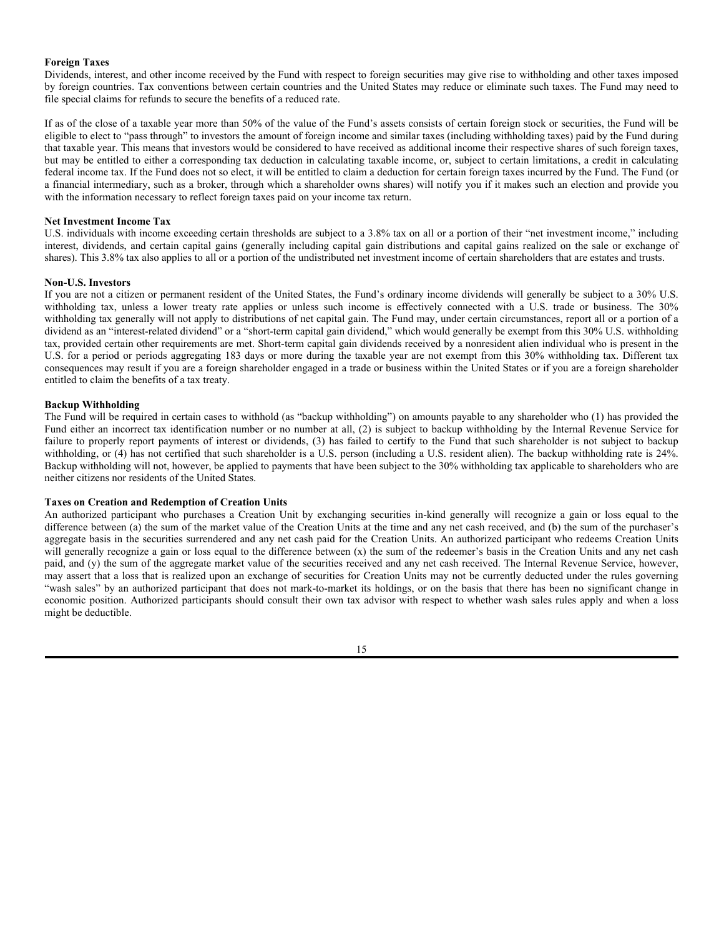#### **Foreign Taxes**

Dividends, interest, and other income received by the Fund with respect to foreign securities may give rise to withholding and other taxes imposed by foreign countries. Tax conventions between certain countries and the United States may reduce or eliminate such taxes. The Fund may need to file special claims for refunds to secure the benefits of a reduced rate.

If as of the close of a taxable year more than 50% of the value of the Fund's assets consists of certain foreign stock or securities, the Fund will be eligible to elect to "pass through" to investors the amount of foreign income and similar taxes (including withholding taxes) paid by the Fund during that taxable year. This means that investors would be considered to have received as additional income their respective shares of such foreign taxes, but may be entitled to either a corresponding tax deduction in calculating taxable income, or, subject to certain limitations, a credit in calculating federal income tax. If the Fund does not so elect, it will be entitled to claim a deduction for certain foreign taxes incurred by the Fund. The Fund (or a financial intermediary, such as a broker, through which a shareholder owns shares) will notify you if it makes such an election and provide you with the information necessary to reflect foreign taxes paid on your income tax return.

## **Net Investment Income Tax**

U.S. individuals with income exceeding certain thresholds are subject to a 3.8% tax on all or a portion of their "net investment income," including interest, dividends, and certain capital gains (generally including capital gain distributions and capital gains realized on the sale or exchange of shares). This 3.8% tax also applies to all or a portion of the undistributed net investment income of certain shareholders that are estates and trusts.

## **Non-U.S. Investors**

If you are not a citizen or permanent resident of the United States, the Fund's ordinary income dividends will generally be subject to a 30% U.S. withholding tax, unless a lower treaty rate applies or unless such income is effectively connected with a U.S. trade or business. The 30% withholding tax generally will not apply to distributions of net capital gain. The Fund may, under certain circumstances, report all or a portion of a dividend as an "interest-related dividend" or a "short-term capital gain dividend," which would generally be exempt from this 30% U.S. withholding tax, provided certain other requirements are met. Short-term capital gain dividends received by a nonresident alien individual who is present in the U.S. for a period or periods aggregating 183 days or more during the taxable year are not exempt from this 30% withholding tax. Different tax consequences may result if you are a foreign shareholder engaged in a trade or business within the United States or if you are a foreign shareholder entitled to claim the benefits of a tax treaty.

## **Backup Withholding**

The Fund will be required in certain cases to withhold (as "backup withholding") on amounts payable to any shareholder who (1) has provided the Fund either an incorrect tax identification number or no number at all, (2) is subject to backup withholding by the Internal Revenue Service for failure to properly report payments of interest or dividends, (3) has failed to certify to the Fund that such shareholder is not subject to backup withholding, or (4) has not certified that such shareholder is a U.S. person (including a U.S. resident alien). The backup withholding rate is 24%. Backup withholding will not, however, be applied to payments that have been subject to the 30% withholding tax applicable to shareholders who are neither citizens nor residents of the United States.

#### **Taxes on Creation and Redemption of Creation Units**

An authorized participant who purchases a Creation Unit by exchanging securities in-kind generally will recognize a gain or loss equal to the difference between (a) the sum of the market value of the Creation Units at the time and any net cash received, and (b) the sum of the purchaser's aggregate basis in the securities surrendered and any net cash paid for the Creation Units. An authorized participant who redeems Creation Units will generally recognize a gain or loss equal to the difference between (x) the sum of the redeemer's basis in the Creation Units and any net cash paid, and (y) the sum of the aggregate market value of the securities received and any net cash received. The Internal Revenue Service, however, may assert that a loss that is realized upon an exchange of securities for Creation Units may not be currently deducted under the rules governing "wash sales" by an authorized participant that does not mark-to-market its holdings, or on the basis that there has been no significant change in economic position. Authorized participants should consult their own tax advisor with respect to whether wash sales rules apply and when a loss might be deductible.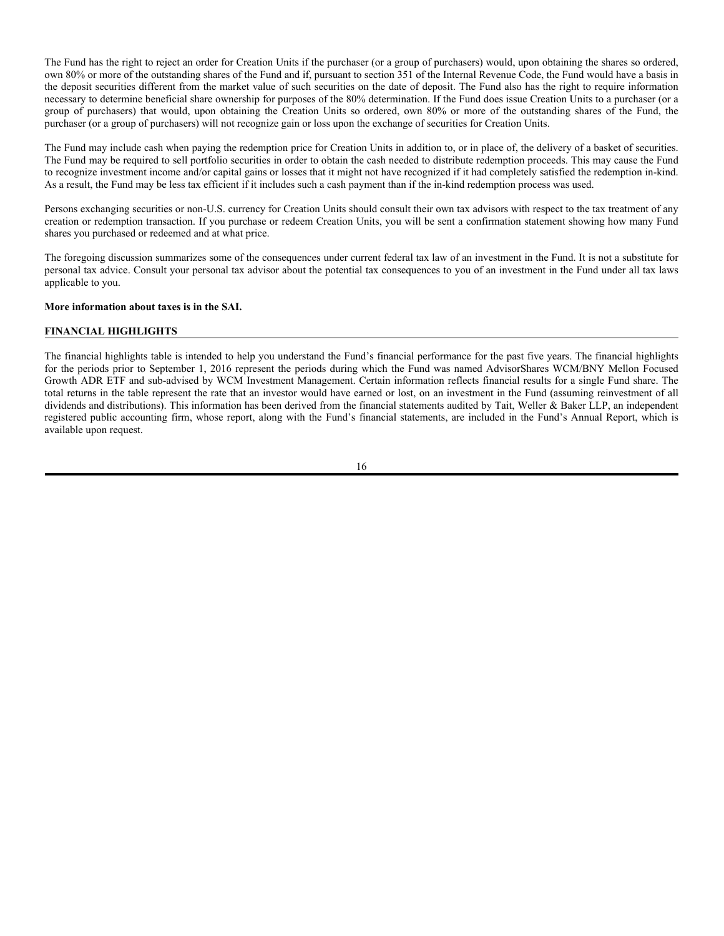The Fund has the right to reject an order for Creation Units if the purchaser (or a group of purchasers) would, upon obtaining the shares so ordered, own 80% or more of the outstanding shares of the Fund and if, pursuant to section 351 of the Internal Revenue Code, the Fund would have a basis in the deposit securities different from the market value of such securities on the date of deposit. The Fund also has the right to require information necessary to determine beneficial share ownership for purposes of the 80% determination. If the Fund does issue Creation Units to a purchaser (or a group of purchasers) that would, upon obtaining the Creation Units so ordered, own 80% or more of the outstanding shares of the Fund, the purchaser (or a group of purchasers) will not recognize gain or loss upon the exchange of securities for Creation Units.

The Fund may include cash when paying the redemption price for Creation Units in addition to, or in place of, the delivery of a basket of securities. The Fund may be required to sell portfolio securities in order to obtain the cash needed to distribute redemption proceeds. This may cause the Fund to recognize investment income and/or capital gains or losses that it might not have recognized if it had completely satisfied the redemption in-kind. As a result, the Fund may be less tax efficient if it includes such a cash payment than if the in-kind redemption process was used.

Persons exchanging securities or non-U.S. currency for Creation Units should consult their own tax advisors with respect to the tax treatment of any creation or redemption transaction. If you purchase or redeem Creation Units, you will be sent a confirmation statement showing how many Fund shares you purchased or redeemed and at what price.

The foregoing discussion summarizes some of the consequences under current federal tax law of an investment in the Fund. It is not a substitute for personal tax advice. Consult your personal tax advisor about the potential tax consequences to you of an investment in the Fund under all tax laws applicable to you.

#### **More information about taxes is in the SAI.**

## **FINANCIAL HIGHLIGHTS**

The financial highlights table is intended to help you understand the Fund's financial performance for the past five years. The financial highlights for the periods prior to September 1, 2016 represent the periods during which the Fund was named AdvisorShares WCM/BNY Mellon Focused Growth ADR ETF and sub-advised by WCM Investment Management. Certain information reflects financial results for a single Fund share. The total returns in the table represent the rate that an investor would have earned or lost, on an investment in the Fund (assuming reinvestment of all dividends and distributions). This information has been derived from the financial statements audited by Tait, Weller & Baker LLP, an independent registered public accounting firm, whose report, along with the Fund's financial statements, are included in the Fund's Annual Report, which is available upon request.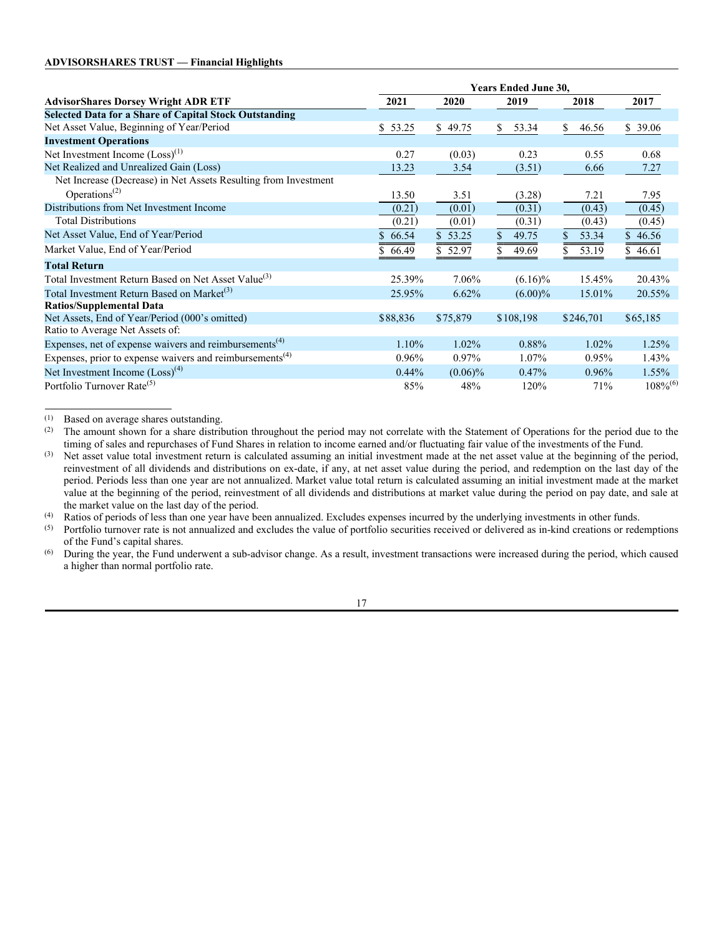|                                                                      | <b>Years Ended June 30,</b> |                   |             |             |                 |
|----------------------------------------------------------------------|-----------------------------|-------------------|-------------|-------------|-----------------|
| <b>AdvisorShares Dorsey Wright ADR ETF</b>                           | 2021                        | 2020              | 2019        | 2018        | 2017            |
| <b>Selected Data for a Share of Capital Stock Outstanding</b>        |                             |                   |             |             |                 |
| Net Asset Value, Beginning of Year/Period                            | \$53.25                     | \$49.75           | \$<br>53.34 | \$<br>46.56 | \$39.06         |
| <b>Investment Operations</b>                                         |                             |                   |             |             |                 |
| Net Investment Income $(Loss)^{(1)}$                                 | 0.27                        | (0.03)            | 0.23        | 0.55        | 0.68            |
| Net Realized and Unrealized Gain (Loss)                              | 13.23                       | 3.54              | (3.51)      | 6.66        | 7.27            |
| Net Increase (Decrease) in Net Assets Resulting from Investment      |                             |                   |             |             |                 |
| Operations <sup><math>(2)</math></sup>                               | 13.50                       | 3.51              | (3.28)      | 7.21        | 7.95            |
| Distributions from Net Investment Income                             | (0.21)                      | (0.01)            | (0.31)      | (0.43)      | (0.45)          |
| <b>Total Distributions</b>                                           | (0.21)                      | (0.01)            | (0.31)      | (0.43)      | (0.45)          |
| Net Asset Value, End of Year/Period                                  | \$66.54                     | \$53.25           | 49.75       | 53.34<br>\$ | \$46.56         |
| Market Value, End of Year/Period                                     | 66.49                       | $\sqrt{$}5.52.97$ | 49.69       | 53.19       | $\sqrt{846.61}$ |
| <b>Total Return</b>                                                  |                             |                   |             |             |                 |
| Total Investment Return Based on Net Asset Value <sup>(3)</sup>      | 25.39%                      | 7.06%             | $(6.16)\%$  | 15.45%      | 20.43%          |
| Total Investment Return Based on Market <sup>(3)</sup>               | 25.95%                      | 6.62%             | $(6.00)\%$  | 15.01%      | 20.55%          |
| <b>Ratios/Supplemental Data</b>                                      |                             |                   |             |             |                 |
| Net Assets, End of Year/Period (000's omitted)                       | \$88,836                    | \$75,879          | \$108,198   | \$246,701   | \$65,185        |
| Ratio to Average Net Assets of:                                      |                             |                   |             |             |                 |
| Expenses, net of expense waivers and reimbursements <sup>(4)</sup>   | 1.10%                       | 1.02%             | 0.88%       | $1.02\%$    | 1.25%           |
| Expenses, prior to expense waivers and reimbursements <sup>(4)</sup> | $0.96\%$                    | $0.97\%$          | 1.07%       | $0.95\%$    | 1.43%           |
| Net Investment Income $(Loss)^{(4)}$                                 | $0.44\%$                    | $(0.06)\%$        | 0.47%       | $0.96\%$    | 1.55%           |
| Portfolio Turnover Rate <sup>(5)</sup>                               | 85%                         | 48%               | 120%        | 71%         | $108\%^{(6)}$   |

(1) Based on average shares outstanding.

(2) The amount shown for a share distribution throughout the period may not correlate with the Statement of Operations for the period due to the timing of sales and repurchases of Fund Shares in relation to income earned and/or fluctuating fair value of the investments of the Fund.

(3) Net asset value total investment return is calculated assuming an initial investment made at the net asset value at the beginning of the period, reinvestment of all dividends and distributions on ex-date, if any, at net asset value during the period, and redemption on the last day of the period. Periods less than one year are not annualized. Market value total return is calculated assuming an initial investment made at the market value at the beginning of the period, reinvestment of all dividends and distributions at market value during the period on pay date, and sale at the market value on the last day of the period.

(4) Ratios of periods of less than one year have been annualized. Excludes expenses incurred by the underlying investments in other funds.

 $<sup>(5)</sup>$  Portfolio turnover rate is not annualized and excludes the value of portfolio securities received or delivered as in-kind creations or redemptions</sup> of the Fund's capital shares.

(6) During the year, the Fund underwent a sub-advisor change. As a result, investment transactions were increased during the period, which caused a higher than normal portfolio rate.